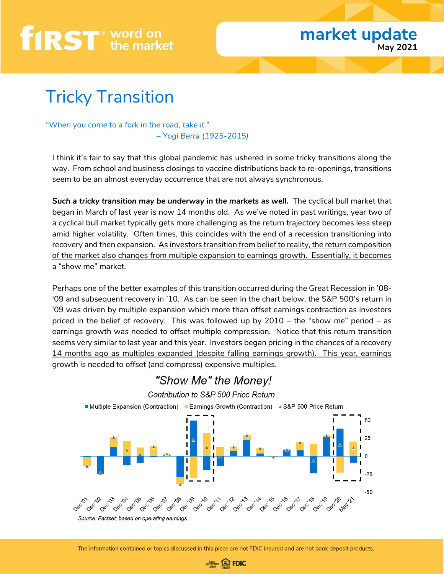### Tricky Transition

*"When you come to a fork in the road, take it." – Yogi Berra (1925-2015)*

I think it's fair to say that this global pandemic has ushered in some tricky transitions along the way. From school and business closings to vaccine distributions back to re-openings, transitions seem to be an almost everyday occurrence that are not always synchronous.

*Such a tricky transition may be underway in the markets as well.* The cyclical bull market that began in March of last year is now 14 months old. As we've noted in past writings, year two of a cyclical bull market typically gets more challenging as the return trajectory becomes less steep amid higher volatility. Often times, this coincides with the end of a recession transitioning into recovery and then expansion. As investors transition from belief to reality, the return composition of the market also changes from multiple expansion to earnings growth. Essentially, it becomes a "show me" market.

Perhaps one of the better examples of this transition occurred during the Great Recession in '08- '09 and subsequent recovery in '10. As can be seen in the chart below, the S&P 500's return in '09 was driven by multiple expansion which more than offset earnings contraction as investors priced in the belief of recovery. This was followed up by 2010 – the "show me" period – as earnings growth was needed to offset multiple compression. Notice that this return transition seems very similar to last year and this year. Investors began pricing in the chances of a recovery 14 months ago as multiples expanded (despite falling earnings growth). This year, earnings growth is needed to offset (and compress) expensive multiples.



### "Show Me" the Money!

The information contained or topics discussed in this piece are not FDIC insured and are not bank deposit products.

**OPPORTUNITY EDFOIC**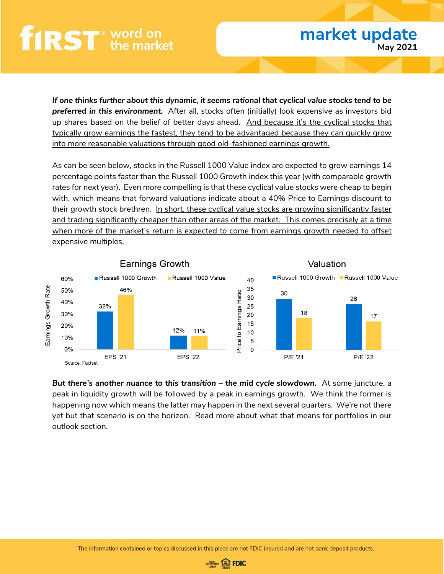*If one thinks further about this dynamic, it seems rational that cyclical value stocks tend to be preferred in this environment.* After all, stocks often (initially) look expensive as investors bid up shares based on the belief of better days ahead. And because it's the cyclical stocks that typically grow earnings the fastest, they tend to be advantaged because they can quickly grow into more reasonable valuations through good old-fashioned earnings growth.

As can be seen below, stocks in the Russell 1000 Value index are expected to grow earnings 14 percentage points faster than the Russell 1000 Growth index this year (with comparable growth rates for next year). Even more compelling is that these cyclical value stocks were cheap to begin with, which means that forward valuations indicate about a 40% Price to Earnings discount to their growth stock brethren. In short, these cyclical value stocks are growing significantly faster and trading significantly cheaper than other areas of the market. This comes precisely at a time when more of the market's return is expected to come from earnings growth needed to offset expensive multiples.



*But there's another nuance to this transition – the mid cycle slowdown.* At some juncture, a peak in liquidity growth will be followed by a peak in earnings growth. We think the former is happening now which means the latter may happen in the next several quarters. We're not there yet but that scenario is on the horizon. Read more about what that means for portfolios in our outlook section.

The information contained or topics discussed in this piece are not FDIC insured and are not bank deposit products.

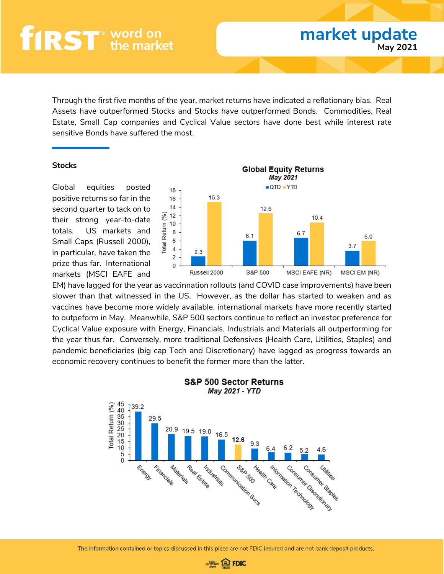Through the first five months of the year, market returns have indicated a reflationary bias. Real Assets have outperformed Stocks and Stocks have outperformed Bonds. Commodities, Real Estate, Small Cap companies and Cyclical Value sectors have done best while interest rate sensitive Bonds have suffered the most.

#### **Stocks**

Global equities posted positive returns so far in the second quarter to tack on to their strong year-to-date totals. US markets and Small Caps (Russell 2000), in particular, have taken the prize thus far. International markets (MSCI EAFE and



EM) have lagged for the year as vaccinnation rollouts (and COVID case improvements) have been slower than that witnessed in the US. However, as the dollar has started to weaken and as vaccines have become more widely available, international markets have more recently started to outpeform in May. Meanwhile, S&P 500 sectors continue to reflect an investor preference for Cyclical Value exposure with Energy, Financials, Industrials and Materials all outperforming for the year thus far. Conversely, more traditional Defensives (Health Care, Utilities, Staples) and pandemic beneficiaries (big cap Tech and Discretionary) have lagged as progress towards an economic recovery continues to benefit the former more than the latter.



### **S&P 500 Sector Returns**

The information contained or topics discussed in this piece are not FDIC insured and are not bank deposit products.

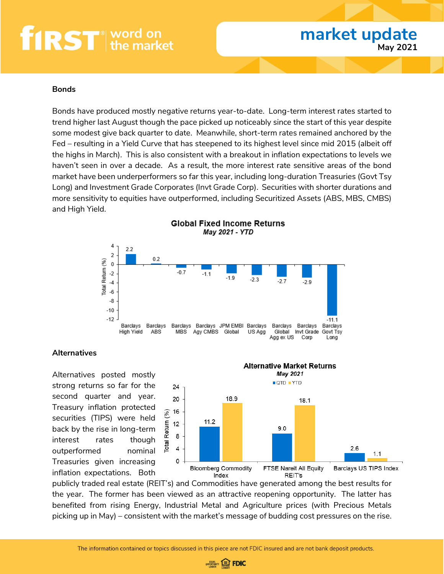#### **Bonds**

Bonds have produced mostly negative returns year-to-date. Long-term interest rates started to trend higher last August though the pace picked up noticeably since the start of this year despite some modest give back quarter to date. Meanwhile, short-term rates remained anchored by the Fed – resulting in a Yield Curve that has steepened to its highest level since mid 2015 (albeit off the highs in March). This is also consistent with a breakout in inflation expectations to levels we haven't seen in over a decade. As a result, the more interest rate sensitive areas of the bond market have been underperformers so far this year, including long-duration Treasuries (Govt Tsy Long) and Investment Grade Corporates (Invt Grade Corp). Securities with shorter durations and more sensitivity to equities have outperformed, including Securitized Assets (ABS, MBS, CMBS) and High Yield.



#### **Alternatives**

Alternatives posted mostly strong returns so far for the second quarter and year. Treasury inflation protected securities (TIPS) were held back by the rise in long-term interest rates though outperformed nominal Treasuries given increasing inflation expectations. Both



publicly traded real estate (REIT's) and Commodities have generated among the best results for the year. The former has been viewed as an attractive reopening opportunity. The latter has benefited from rising Energy, Industrial Metal and Agriculture prices (with Precious Metals picking up in May) – consistent with the market's message of budding cost pressures on the rise.

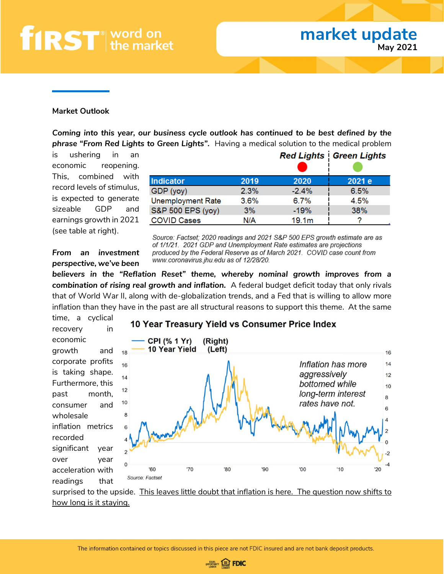### **market update May 2021**

#### **Market Outlook**

*Coming into this year, our business cycle outlook has continued to be best defined by the phrase "From Red Lights to Green Lights".* Having a medical solution to the medical problem

is ushering in an economic reopening. This, combined with record levels of stimulus, is expected to generate sizeable GDP and earnings growth in 2021 (see table at right).

|                          |      |                   | <b>Red Lights Green Lights</b> |
|--------------------------|------|-------------------|--------------------------------|
| <b>Indicator</b>         | 2019 | 2020              | 2021 e                         |
| GDP (yoy)                | 2.3% | $-2.4%$           | 6.5%                           |
| <b>Unemployment Rate</b> | 3.6% | 6.7%              | 4.5%                           |
| S&P 500 EPS (yoy)        | 3%   | $-19%$            | 38%                            |
| <b>COVID Cases</b>       | N/A  | 19.1 <sub>m</sub> |                                |

Source: Factset; 2020 readings and 2021 S&P 500 EPS growth estimate are as of 1/1/21. 2021 GDP and Unemployment Rate estimates are projections produced by the Federal Reserve as of March 2021. COVID case count from www.coronavirus.jhu.edu as of 12/28/20.

*From an investment perspective, we've been* 

*believers in the "Reflation Reset" theme, whereby nominal growth improves from a combination of rising real growth and inflation.* A federal budget deficit today that only rivals that of World War II, along with de-globalization trends, and a Fed that is willing to allow more inflation than they have in the past are all structural reasons to support this theme. At the same

10 Year Treasury Yield vs Consumer Price Index

time, a cyclical recovery in economic growth and corporate profits is taking shape. Furthermore, this past month, consumer and wholesale inflation metrics recorded significant year over year acceleration with readings that

Source: Factset



surprised to the upside. This leaves little doubt that inflation is here. The question now shifts to how long is it staying.

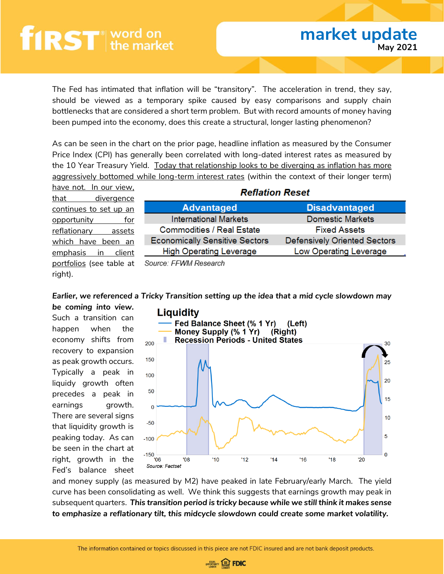The Fed has intimated that inflation will be "transitory". The acceleration in trend, they say, should be viewed as a temporary spike caused by easy comparisons and supply chain bottlenecks that are considered a short term problem. But with record amounts of money having been pumped into the economy, does this create a structural, longer lasting phenomenon?

As can be seen in the chart on the prior page, headline inflation as measured by the Consumer Price Index (CPI) has generally been correlated with long-dated interest rates as measured by the 10 Year Treasury Yield. Today that relationship looks to be diverging as inflation has more aggressively bottomed while long-term interest rates (within the context of their longer term)

have not. In our view, that divergence continues to set up an opportunity for reflationary assets which have been an emphasis in client portfolios (see table at right).

| Reflation Reset |  |
|-----------------|--|
|-----------------|--|

| <b>Advantaged</b>                     | <b>Disadvantaged</b>                |  |
|---------------------------------------|-------------------------------------|--|
| <b>International Markets</b>          | <b>Domestic Markets</b>             |  |
| <b>Commodities / Real Estate</b>      | <b>Fixed Assets</b>                 |  |
| <b>Economically Sensitive Sectors</b> | <b>Defensively Oriented Sectors</b> |  |
| <b>High Operating Leverage</b>        | Low Operating Leverage              |  |

Source: FFWM Research

#### *Earlier, we referenced a Tricky Transition setting up the idea that a mid cycle slowdown may*

*be coming into view.*  Such a transition can happen when the economy shifts from recovery to expansion as peak growth occurs. Typically a peak in liquidy growth often precedes a peak in earnings growth. There are several signs that liquidity growth is peaking today. As can be seen in the chart at right, growth in the Fed's balance sheet



and money supply (as measured by M2) have peaked in late February/early March. The yield curve has been consolidating as well. We think this suggests that earnings growth may peak in subsequent quarters. *This transition period is tricky because while we still think it makes sense to emphasize a reflationary tilt, this midcycle slowdown could create some market volatility.* 

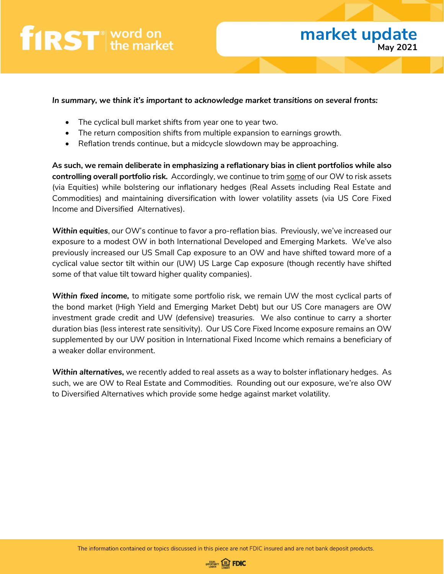

#### *In summary, we think it's important to acknowledge market transitions on several fronts:*

- The cyclical bull market shifts from year one to year two.
- The return composition shifts from multiple expansion to earnings growth.
- Reflation trends continue, but a midcycle slowdown may be approaching.

**As such, we remain deliberate in emphasizing a reflationary bias in client portfolios while also controlling overall portfolio risk.** Accordingly, we continue to trim some of our OW to risk assets (via Equities) while bolstering our inflationary hedges (Real Assets including Real Estate and Commodities) and maintaining diversification with lower volatility assets (via US Core Fixed Income and Diversified Alternatives).

*Within equities*, our OW's continue to favor a pro-reflation bias. Previously, we've increased our exposure to a modest OW in both International Developed and Emerging Markets. We've also previously increased our US Small Cap exposure to an OW and have shifted toward more of a cyclical value sector tilt within our (UW) US Large Cap exposure (though recently have shifted some of that value tilt toward higher quality companies).

*Within fixed income,* to mitigate some portfolio risk, we remain UW the most cyclical parts of the bond market (High Yield and Emerging Market Debt) but our US Core managers are OW investment grade credit and UW (defensive) treasuries. We also continue to carry a shorter duration bias (less interest rate sensitivity). Our US Core Fixed Income exposure remains an OW supplemented by our UW position in International Fixed Income which remains a beneficiary of a weaker dollar environment.

*Within alternatives,* we recently added to real assets as a way to bolster inflationary hedges. As such, we are OW to Real Estate and Commodities. Rounding out our exposure, we're also OW to Diversified Alternatives which provide some hedge against market volatility.

The information contained or topics discussed in this piece are not FDIC insured and are not bank deposit products.